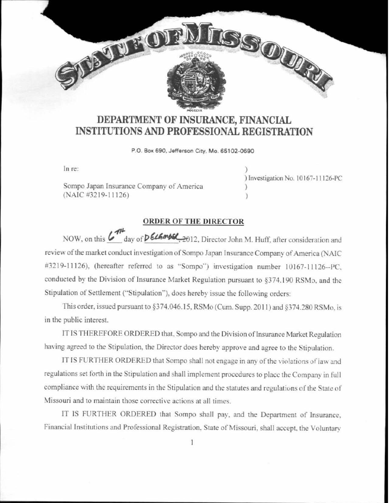## **DEPARTMENT OF INSURANCE, FINANCIAL INSTITUTIONS AND PROFESSIONAL REGISTRATION**

**P 0. Bo~ 690, Jefferson City. Mo. 65102-0690** 

ln re:

Sompo Japan Insurance Company of America (NAIC #3219-11126)

JEVEROI

} ) Im estigation No. 10167-11126-PC ) )

Tres our?

## **ORDER OF THE DIRECTOR**

NOW, on this **&** day of **PELEMBER**, 2012, Director John M. Huff, after consideration and review of the market conduct investigation of Sompo Japan Insurance Company of America (NAIC #3219-11126). (hereafter referred to as "Sompo") investigation number 10167-11126--PC. conducted by the Division of Insurance Market Regulation pursuant to §374.190 RSMo, and the Stipulation of Settlement ("Stipulation"), does hereby issue the following orders:

This order, issued pursuant to §374.046.15, RSMo (Cum. Supp. 2011) and §374.280 RSMo, is in the public interest.

IT IS THEREFORE ORDERED that, Sompo and the Division of Insurance Market Regulation having agreed to the Stipulation, the Director does hereby approve and agree to the Stipulation.

IT IS FURTHER ORDERED that Sompo shall not engage in any of the violations of law and regulations set forth in the Stipulation and shall implement procedures to place the Company in full. compliance with the requirements in the Stipulation and the statutes and regulations of the State of Missouri and to maintain those corrective actions at all times.

IT IS FURTHER ORDERED that Sompo shall pay, and the Department of Insurance, Financial Institutions and Professional Registration. State of Missouri, shall accept, the Voluntary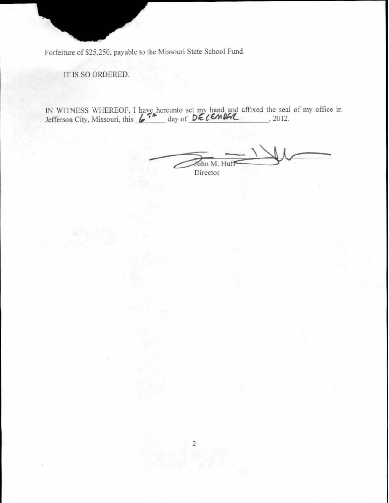Forfeiture of \$25,250, payable to the Missouri State School Fund.

IT IS SO ORDERED.

IN WITNESS WHEREOF, I have hereunto set my hand and affixed the seal of my office in Jefferson City, Missouri, this  $\sqrt{7}$  day of DECEMBER 10.2012.

John M. Huf Director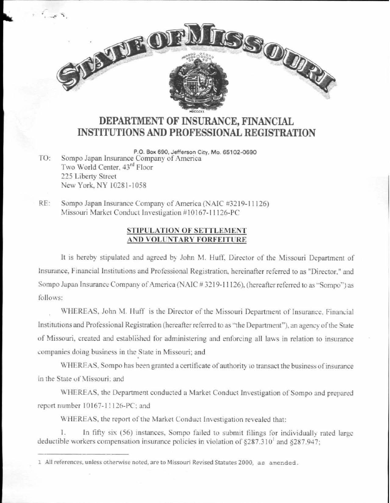## DEPARTMENT OF INSURANCE, FINANCIAL **INSTITUTIONS AND PROFESSIONAL REGISTRATION**

**TISSOUR** 

P.O. Box 690, Jefferson City, Mo. 65102-0690 Sompo Japan Insurance Company of America  $TO<sup>+</sup>$ Two World Center, 43rd Floor 225 Liberty Street New York, NY 10281-1058

OF THE OFF

 $RE:$ Sompo Japan Insurance Company of America (NAIC #3219-11126) Missouri Market Conduct Investigation #10167-11126-PC

## STIPULATION OF SETTLEMENT AND VOLUNTARY FORFEITURE

It is hereby stipulated and agreed by John M. Huff, Director of the Missouri Department of Insurance, Financial Institutions and Professional Registration, hereinafter referred to as "Director," and Sompo Japan Insurance Company of America (NAIC #3219-11126), (hereafter referred to as "Sompo") as follows:

WHEREAS, John M. Huff is the Director of the Missouri Department of Insurance, Financial Institutions and Professional Registration (hereafter referred to as "the Department"), an agency of the State of Missouri, created and established for administering and enforcing all laws in relation to insurance companies doing business in the State in Missouri; and

WHEREAS, Sompo has been granted a certificate of authority to transact the business of insurance in the State of Missouri: and

WHEREAS, the Department conducted a Market Conduct Investigation of Sompo and prepared report number 10167-11126-PC; and

WHEREAS, the report of the Market Conduct Investigation revealed that:

In fifty six (56) instances, Sompo failed to submit filings for individually rated large 1. deductible workers compensation insurance policies in violation of  $\S 287.310^1$  and  $\S 287.947$ ;

<sup>1</sup> All references, unless otherwise noted, are to Missouri Revised Statutes 2000, as amended.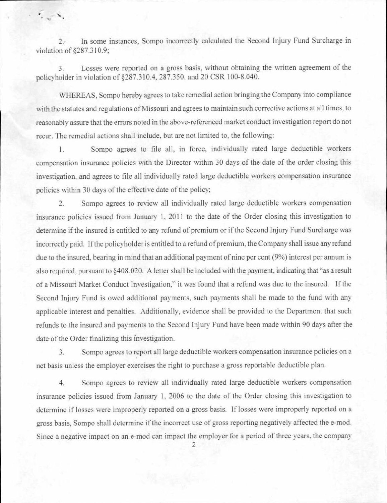2.· In some instances, Sompo incorrectly calculated the Second Injury Fund Surcharge in violation of §287.310.9;

... r

· ~ "'

3. Losses were reported on a gross basis, without obtaining the written agreement of the policyholder in violation of §287.310.4, 287.350, and 20 CSR 100-8.040.

WHEREAS, Sompo hereby agrees to take remedial action bringing the Company into compliance with the statutes and regulations of Missouri and agrees to maintain such corrective actions at all times, to reasonably assure that the errors noted in the above-referenced market conduct investigation report do not recur. The remedial actions shall include, but are not limited to. the following:

1. Sompo agrees to file all, in force, individually rated large deductible workers compensation insurance policies with the Director within 30 days of the date of the order closing this investigation, and agrees to file all individually rated large deductible workers compensation insurance policies within 30 days of the effective date of the policy;

2. Sompo agrees to review all individually rated large deductible workers compensation insurance policies issued from January 1, 2011 to the date of the Order closing this investigation to determine if the insured is entitled to any refund of premium or if the Second Injury Fund Surcharge was incorrectly paid. If the policyholder is entitled to a refund of premium, the Company shall issue any refund due to the insured, bearing in mind that an additional payment of nine per cent (9%) interest per annum is also required, pursuant to §408.020. A letter shall be included with the payment, indicating that "as a result of a Missouri Market Conduct Investigation," it was found that a refund was due to the insured. If the Second Injury Fund is owed additional payments, such payments shall be made to the fund with any applicable interest and penalties. Additionally, evidence shall be provided to the Department that such refunds to the insured and payments to the Second Injury Fund have been made within 90 days after the date of the Order finalizing this investigation.

3. Sompo agrees to report all large deductible workers compensation insurance policies on a net basis unless the employer exercises the right to purchase a gross reportable deductible plan.

4. Sompo agrees to review all individually rated large deductible workers compensation insurance policies issued from January 1, 2006 to the date of the Order closing this investigation to determine if losses were improperly reported on a gross basis. If losses were improperly reported on a gross basis, Sompo shall determine if the incorrect use of gross reporting negatively affected the e-mod. Since a negative impact on an e-mod can impact the employer for a period of three years. the company

2